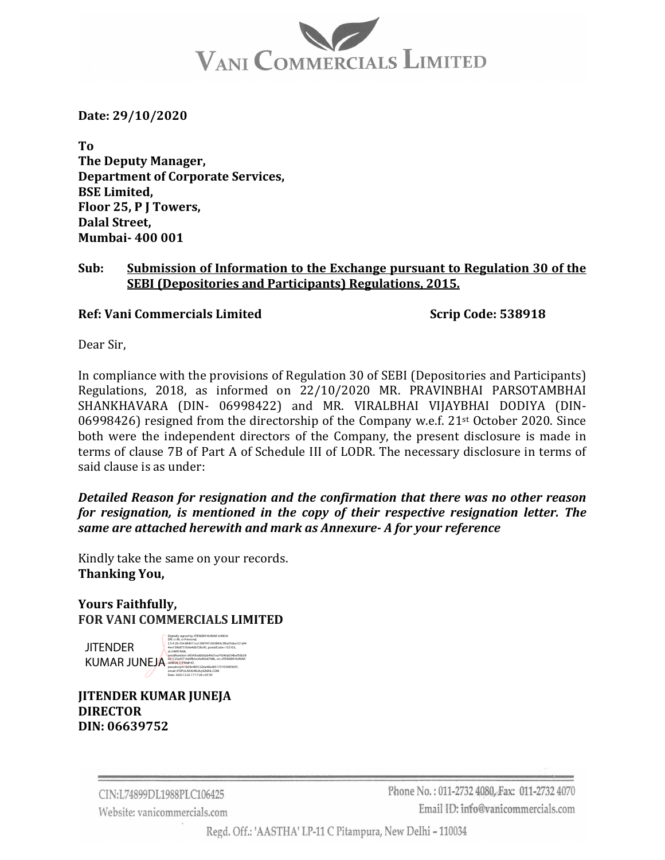# VANI COMMERCIALS LIMITED

**Date: 29/10/2020**

**To The Deputy Manager, Department of Corporate Services, BSE Limited, Floor 25, P J Towers, Dalal Street, Mumbai‐ 400 001**

#### **Sub: Submission of Information to the Exchange pursuant to Regulation 30 of the SEBI (Depositories and Participants) Regulations, 2015.**

**Ref: Vani Commercials Limited Scrip Code: 538918**

Dear Sir,

In compliance with the provisions of Regulation 30 of SEBI (Depositories and Participants) Regulations, 2018, as informed on 22/10/2020 MR. PRAVINBHAI PARSOTAMBHAI SHANKHAVARA (DIN- 06998422) and MR. VIRALBHAI VIJAYBHAI DODIYA (DIN-06998426) resigned from the directorship of the Company w.e.f. 21<sup>st</sup> October 2020. Since both were the independent directors of the Company, the present disclosure is made in terms of clause 7B of Part A of Schedule III of LODR. The necessary disclosure in terms of said clause is as under:

*Detailed Reason for resignation and the confirmation that there was no other reason for resignation, is mentioned in the copy of their respective resignation letter. The same are attached herewith and mark as Annexure‐ A for your reference*

Kindly take the same on your records. **Thanking You,**

### **Yours Faithfully, FOR VANI COMMERCIALS LIMITED**

**JITENDER KUMAR JUNE** 

| FΙA | Digitally signed by JITENDER KUMAR JUNEJA<br>DN: c=IN. o=Personal.<br>25420=59c984011ca1289747c929809c3f6a35dea121a94<br>4ee159b8731b9a4db728c95.postalCode=132103.<br>st=HARYANA.<br>serialNumber=96545eddb0ab49d1ea74246a034bef36b38<br>621125a93716d0fb5e36ef69d798b.cn=JITENDER KUMAR<br>JUNEJA, I=PANIPAT. |
|-----|-----------------------------------------------------------------------------------------------------------------------------------------------------------------------------------------------------------------------------------------------------------------------------------------------------------------|
|     | pseudonym=b09e489122ba46bd851731f33fdf3097.<br>email=POPULARJUNEJA@GMAIL.COM<br>Date: 2020 12:02 17:17:28 +05'30'                                                                                                                                                                                               |

**JITENDER KUMAR JUNEJA DIRECTOR DIN: 06639752**

> CIN:L74899DL1988PLC106425 Website: vanicommercials.com

Phone No.: 011-2732 4080. Fax: 011-2732 4070 Email ID: info@vanicommercials.com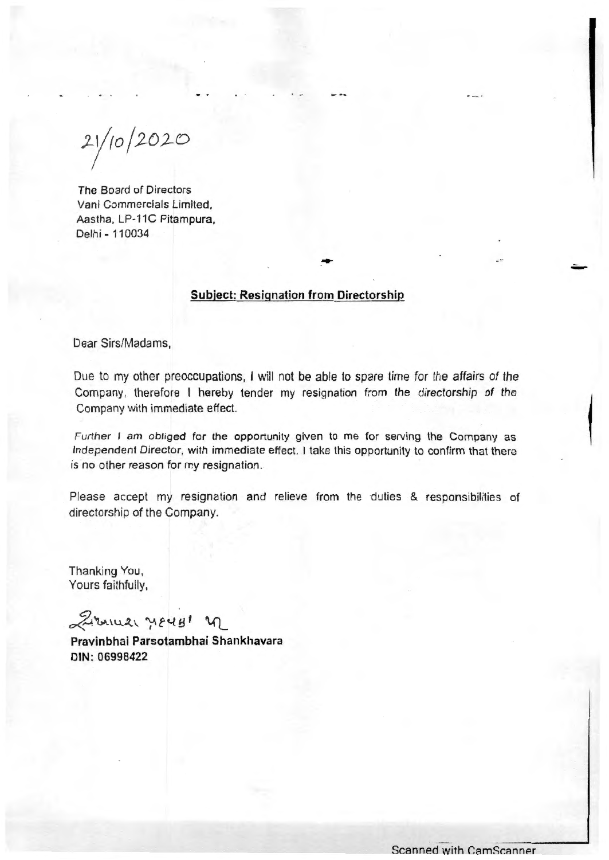$21/10/2020$ 

The Board of Directors Vani Commercials Limited, Aastha, LP-11C Pitampura, Delhi - 110034

#### Subject: Resignation from Directorship

Dear Sirs/Madams,

Due to my other preoccupations, I will not be able to spare time for the affairs of the Company, therefore I hereby tender my resignation from the directorship of the Company with immediate effect.

Further I am obliged for the opportunity given to me for serving the Company as Independent Director, with immediate effect. I take this opportunity to confirm that there is no other reason for my resignation.

Please accept my resignation and relieve from the duties & responsibilities of directorship of the Company.

Thanking You, Yours faithfully,

 $\approx$  immed year! n

Pravinbhai Parsotambhai Shankhavara DIN: 06998422